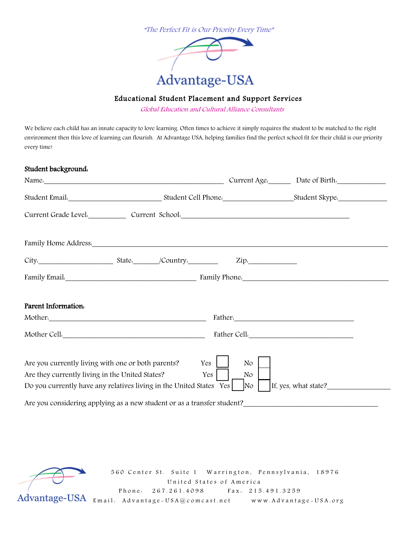

# Educational Student Placement and Support Services

Global Education and Cultural Alliance Consultants

We believe each child has an innate capacity to love learning. Often times to achieve it simply requires the student to be matched to the right environment then this love of learning can flourish. At Advantage USA, helping families find the perfect school fit for their child is our priority every time!

| Student background.                                                                                                                                                          |  |            |                             |                             |  |
|------------------------------------------------------------------------------------------------------------------------------------------------------------------------------|--|------------|-----------------------------|-----------------------------|--|
| Name.                                                                                                                                                                        |  |            |                             | Current Age. Date of Birth. |  |
|                                                                                                                                                                              |  |            |                             |                             |  |
|                                                                                                                                                                              |  |            |                             |                             |  |
|                                                                                                                                                                              |  |            |                             |                             |  |
|                                                                                                                                                                              |  |            | $\mathsf{Zip:}$             |                             |  |
|                                                                                                                                                                              |  |            |                             |                             |  |
| Parent Information.                                                                                                                                                          |  |            |                             |                             |  |
| Mother.                                                                                                                                                                      |  |            |                             |                             |  |
| Mother Cell.                                                                                                                                                                 |  |            |                             | Father Cell.                |  |
| Are you currently living with one or both parents?<br>Are they currently living in the United States?<br>Do you currently have any relatives living in the United States Yes |  | Yes<br>Yes | No<br>No.<br>N <sub>O</sub> | If, yes, what state?        |  |
| Are you considering applying as a new student or as a transfer student?                                                                                                      |  |            |                             |                             |  |

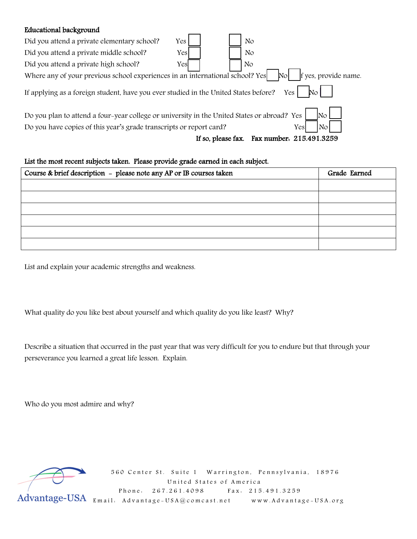### Educational background

| Did you attend a private elementary school?                                                                                    | Yes |                    | No                       |  |  |  |  |
|--------------------------------------------------------------------------------------------------------------------------------|-----|--------------------|--------------------------|--|--|--|--|
| Did you attend a private middle school?                                                                                        | Yes |                    | No                       |  |  |  |  |
| Did you attend a private high school?                                                                                          | Yes |                    | No                       |  |  |  |  |
| Where any of your previous school experiences in an international school? Yes<br>If yes, provide name.<br>$\mathbb{N}^{\circ}$ |     |                    |                          |  |  |  |  |
| If applying as a foreign student, have you ever studied in the United States before?<br>Yes                                    |     |                    |                          |  |  |  |  |
| Do you plan to attend a four-year college or university in the United States or abroad? Yes<br>No.                             |     |                    |                          |  |  |  |  |
| Do you have copies of this year's grade transcripts or report card?<br>Yes<br>No                                               |     |                    |                          |  |  |  |  |
|                                                                                                                                |     | If so, please fax. | Fax number. 215.491.3259 |  |  |  |  |

### List the most recent subjects taken. Please provide grade earned in each subject.

| Course & brief description - please note any AP or IB courses taken | Grade Earned |
|---------------------------------------------------------------------|--------------|
|                                                                     |              |
|                                                                     |              |
|                                                                     |              |
|                                                                     |              |
|                                                                     |              |
|                                                                     |              |

List and explain your academic strengths and weakness.

What quality do you like best about yourself and which quality do you like least? Why?

Describe a situation that occurred in the past year that was very difficult for you to endure but that through your perseverance you learned a great life lesson. Explain.

Who do you most admire and why?

560 Center St. Suite 1 Warrington, Pennsylvania, 18976<br>United States of America United States of America Phone: 267.261.4098 Fax: 215.491.3259 Advantage-USA Email: Advantage-USA@comcast.net www.Advantage-USA.org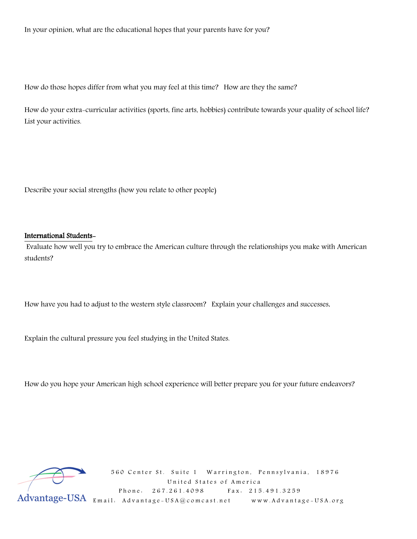In your opinion, what are the educational hopes that your parents have for you?

How do those hopes differ from what you may feel at this time? How are they the same?

How do your extra-curricular activities (sports, fine arts, hobbies) contribute towards your quality of school life? List your activities.

Describe your social strengths (how you relate to other people)

#### International Students-

 Evaluate how well you try to embrace the American culture through the relationships you make with American students?

How have you had to adjust to the western style classroom? Explain your challenges and successes.

Explain the cultural pressure you feel studying in the United States.

How do you hope your American high school experience will better prepare you for your future endeavors?

 560 Center St. Suite 1 Warrington, Pennsylvania, 18976 United States of America Phone: 267.261.4098 Fax: 215.491.3259 Email: Advantage - USA@c omcast.net www.Advantage - USA.org